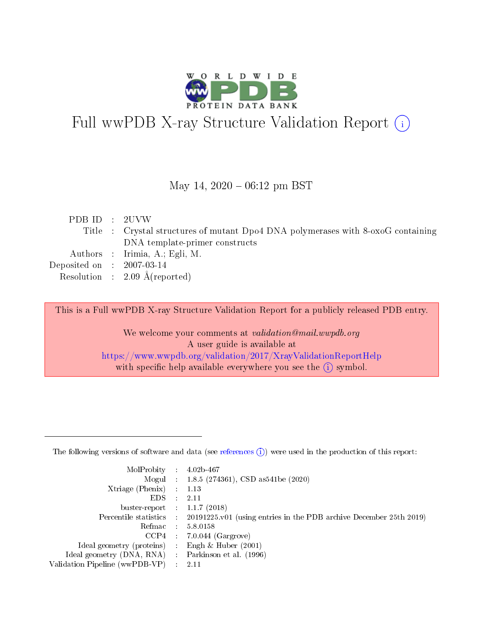

# Full wwPDB X-ray Structure Validation Report (i)

#### May 14,  $2020 - 06:12$  pm BST

| PDB ID : 2UVW               |                                                                                  |
|-----------------------------|----------------------------------------------------------------------------------|
|                             | Title : Crystal structures of mutant Dpo4 DNA polymerases with 8-oxoG containing |
|                             | DNA template-primer constructs                                                   |
|                             | Authors : Irimia, A.; Egli, M.                                                   |
| Deposited on : $2007-03-14$ |                                                                                  |
|                             | Resolution : $2.09 \text{ Å}$ (reported)                                         |
|                             |                                                                                  |

This is a Full wwPDB X-ray Structure Validation Report for a publicly released PDB entry.

We welcome your comments at validation@mail.wwpdb.org A user guide is available at <https://www.wwpdb.org/validation/2017/XrayValidationReportHelp> with specific help available everywhere you see the  $(i)$  symbol.

The following versions of software and data (see [references](https://www.wwpdb.org/validation/2017/XrayValidationReportHelp#references)  $(1)$ ) were used in the production of this report:

| MolProbity                     | $\mathcal{L}_{\rm{max}}$ | $4.02b - 467$                                                                |
|--------------------------------|--------------------------|------------------------------------------------------------------------------|
|                                |                          | Mogul : $1.8.5$ (274361), CSD as 541be (2020)                                |
| $X$ triage (Phenix) :          |                          | 1.13                                                                         |
| EDS.                           |                          | 2.11                                                                         |
| buster-report : $1.1.7$ (2018) |                          |                                                                              |
| Percentile statistics :        |                          | $20191225 \text{ v}01$ (using entries in the PDB archive December 25th 2019) |
| Refmac                         |                          | 5.8.0158                                                                     |
| $CCP4$ :                       |                          | $7.0.044$ (Gargrove)                                                         |
| Ideal geometry (proteins) :    |                          | Engh $\&$ Huber (2001)                                                       |
| Ideal geometry (DNA, RNA) :    |                          | Parkinson et al. (1996)                                                      |
| Validation Pipeline (wwPDB-VP) | $\mathcal{L}$            | -2.11                                                                        |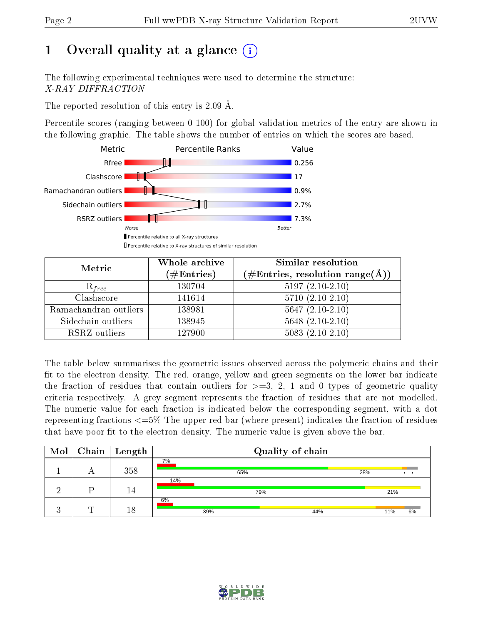# 1 [O](https://www.wwpdb.org/validation/2017/XrayValidationReportHelp#overall_quality)verall quality at a glance  $(i)$

The following experimental techniques were used to determine the structure: X-RAY DIFFRACTION

The reported resolution of this entry is 2.09 Å.

Percentile scores (ranging between 0-100) for global validation metrics of the entry are shown in the following graphic. The table shows the number of entries on which the scores are based.



| Metric                | Whole archive<br>$(\#\text{Entries})$ | Similar resolution<br>$(\#\text{Entries},\,\text{resolution}\,\,\text{range}(\textup{\AA}))$ |
|-----------------------|---------------------------------------|----------------------------------------------------------------------------------------------|
| $R_{free}$            | 130704                                | $5197(2.10-2.10)$                                                                            |
| Clashscore            | 141614                                | $5710(2.10-2.10)$                                                                            |
| Ramachandran outliers | 138981                                | $5647(2.10-2.10)$                                                                            |
| Sidechain outliers    | 138945                                | $5648$ $(2.10-2.10)$                                                                         |
| RSRZ outliers         | 127900                                | $5083(2.10-2.10)$                                                                            |

The table below summarises the geometric issues observed across the polymeric chains and their fit to the electron density. The red, orange, yellow and green segments on the lower bar indicate the fraction of residues that contain outliers for  $>=3, 2, 1$  and 0 types of geometric quality criteria respectively. A grey segment represents the fraction of residues that are not modelled. The numeric value for each fraction is indicated below the corresponding segment, with a dot representing fractions  $\epsilon=5\%$  The upper red bar (where present) indicates the fraction of residues that have poor fit to the electron density. The numeric value is given above the bar.

| $\text{Mol}$ |   | $\mid$ Chain $\mid$ Length | Quality of chain |     |     |     |     |     |                 |
|--------------|---|----------------------------|------------------|-----|-----|-----|-----|-----|-----------------|
|              |   | 358                        | 7%               |     | 65% |     | 28% |     | $\cdot$ $\cdot$ |
|              |   | 14                         | 14%              |     | 79% |     |     | 21% |                 |
|              | m | 18                         | 6%               | 39% |     | 44% |     | 11% | 6%              |

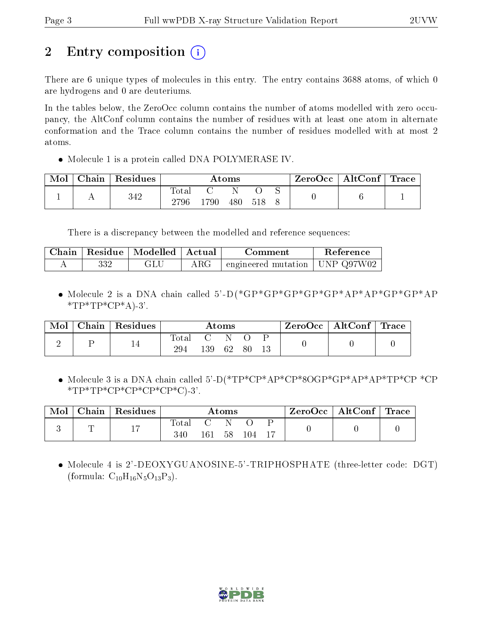# 2 Entry composition  $\left( \cdot \right)$

There are 6 unique types of molecules in this entry. The entry contains 3688 atoms, of which 0 are hydrogens and 0 are deuteriums.

In the tables below, the ZeroOcc column contains the number of atoms modelled with zero occupancy, the AltConf column contains the number of residues with at least one atom in alternate conformation and the Trace column contains the number of residues modelled with at most 2 atoms.

• Molecule 1 is a protein called DNA POLYMERASE IV.

| Mol | Chain | Residues |                      |     | $\rm{Atoms}$ |     | $\text{ZeroOcc} \mid \text{AltConf} \mid \text{Trace}$ |  |
|-----|-------|----------|----------------------|-----|--------------|-----|--------------------------------------------------------|--|
|     |       | 342      | <b>Total</b><br>2796 | 790 | 480          | 518 |                                                        |  |

There is a discrepancy between the modelled and reference sequences:

|     | Chain   Residue   Modelled   Actual |            | Comment                            | Reference |
|-----|-------------------------------------|------------|------------------------------------|-----------|
| 332 | GLU                                 | $\rm{ARG}$ | engineered mutation   UNP $Q97W02$ |           |

 Molecule 2 is a DNA chain called 5'-D(\*GP\*GP\*GP\*GP\*GP\*AP\*AP\*GP\*GP\*AP  $*TP*TP*CP*A$ -3'.

| Mol | Chain   Residues |                      |     | $\rm{Atoms}$ |    |  | $ZeroOcc \   \ AltConf \  $ | Trace |
|-----|------------------|----------------------|-----|--------------|----|--|-----------------------------|-------|
|     | 14               | $\tau_{\text{otal}}$ |     | 62           |    |  |                             |       |
|     |                  | 294                  | 139 |              | 80 |  |                             |       |

 Molecule 3 is a DNA chain called 5'-D(\*TP\*CP\*AP\*CP\*8OGP\*GP\*AP\*AP\*TP\*CP \*CP  $*TP*TP*CP*CP*CP*CP*CP*C$ 

| Mol | Chain   Residues |     |     | $\bm{\mathrm{Atoms}}$ |     |  | ZeroOcc   AltConf   Trace |  |
|-----|------------------|-----|-----|-----------------------|-----|--|---------------------------|--|
|     |                  | 340 | 161 | 58                    | 104 |  |                           |  |

 Molecule 4 is 2'-DEOXYGUANOSINE-5'-TRIPHOSPHATE (three-letter code: DGT) (formula:  $C_{10}H_{16}N_5O_{13}P_3$ ).

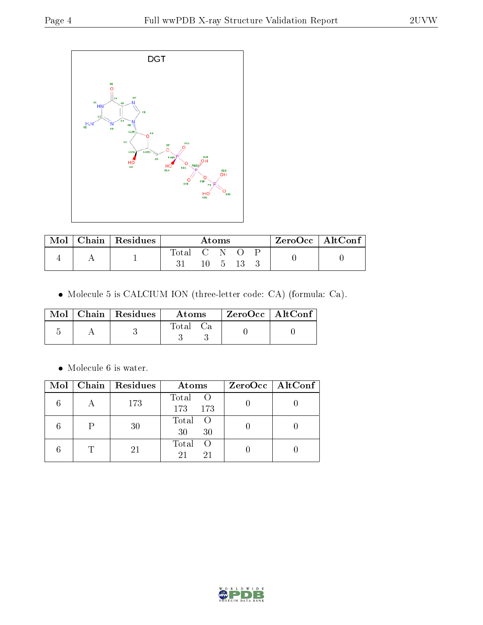

| $\cap$ hain $\mathord{\hspace{1pt}\mathsf{I}}$ | Residues |             | Atoms |  | $\rm ZeroOcc$   Alt $\rm Conf$ |
|------------------------------------------------|----------|-------------|-------|--|--------------------------------|
|                                                |          | Total C N O |       |  |                                |
|                                                |          |             | $-5$  |  |                                |

Molecule 5 is CALCIUM ION (three-letter code: CA) (formula: Ca).

|  | $Mol$   Chain   Residues | Atoms       | $ZeroOcc \mid AltConf \mid$ |
|--|--------------------------|-------------|-----------------------------|
|  |                          | $\rm Total$ |                             |

 $\bullet\,$  Molecule 6 is water.

|  | $Mol$   Chain   Residues | Atoms                              | $ZeroOcc \mid AltConf \mid$ |
|--|--------------------------|------------------------------------|-----------------------------|
|  | 173                      | Total<br>$\overline{O}$<br>173 173 |                             |
|  | 30                       | Total<br>- 0<br>30<br>30           |                             |
|  | 21                       | Total<br>- ()<br>21<br>21          |                             |

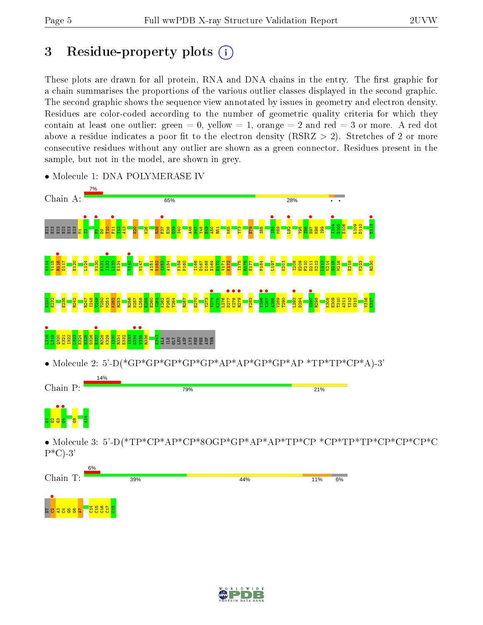# 3 Residue-property plots  $(i)$

These plots are drawn for all protein, RNA and DNA chains in the entry. The first graphic for a chain summarises the proportions of the various outlier classes displayed in the second graphic. The second graphic shows the sequence view annotated by issues in geometry and electron density. Residues are color-coded according to the number of geometric quality criteria for which they contain at least one outlier: green  $= 0$ , yellow  $= 1$ , orange  $= 2$  and red  $= 3$  or more. A red dot above a residue indicates a poor fit to the electron density (RSRZ  $> 2$ ). Stretches of 2 or more consecutive residues without any outlier are shown as a green connector. Residues present in the sample, but not in the model, are shown in grey.



• Molecule 1: DNA POLYMERASE IV

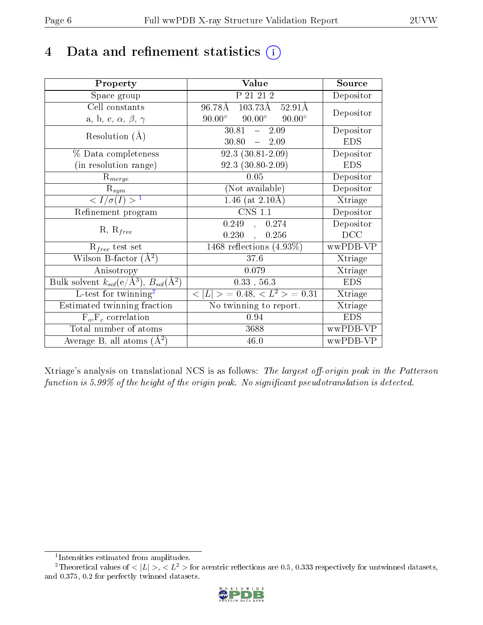## 4 Data and refinement statistics  $(i)$

| Property                                                             | Value                                               | Source                       |
|----------------------------------------------------------------------|-----------------------------------------------------|------------------------------|
| Space group                                                          | P 21 21 2                                           | Depositor                    |
| Cell constants                                                       | $96.78\AA$ $103.73\AA$ $52.91\AA$                   | Depositor                    |
| a, b, c, $\alpha$ , $\beta$ , $\gamma$                               | $90.00^{\circ}$<br>$90.00^\circ$<br>$90.00^{\circ}$ |                              |
| Resolution $(A)$                                                     | $30.81 -$<br>2.09                                   | Depositor                    |
|                                                                      | $-2.09$<br>30.80                                    | <b>EDS</b>                   |
| % Data completeness                                                  | $\overline{92.3 (30.81-2.09)}$                      | Depositor                    |
| (in resolution range)                                                | $92.3(30.80-2.09)$                                  | <b>EDS</b>                   |
| $R_{merge}$                                                          | 0.05                                                | Depositor                    |
| $\mathrm{R}_{sym}$                                                   | (Not available)                                     | Depositor                    |
| $\langle I/\sigma(I) \rangle^{-1}$                                   | $1.46$ (at $2.10\text{\AA}$ )                       | $\overline{\text{X}}$ triage |
| Refinement program                                                   | <b>CNS 1.1</b>                                      | Depositor                    |
| $R, R_{free}$                                                        | 0.249<br>, 0.274                                    | Depositor                    |
|                                                                      | 0.230,<br>0.256                                     | DCC                          |
| $R_{free}$ test set                                                  | 1468 reflections $(4.93\%)$                         | wwPDB-VP                     |
| Wilson B-factor $(A^2)$                                              | 37.6                                                | Xtriage                      |
| Anisotropy                                                           | 0.079                                               | Xtriage                      |
| Bulk solvent $k_{sol}(e/\mathring{A}^3)$ , $B_{sol}(\mathring{A}^2)$ | 0.33, 56.3                                          | <b>EDS</b>                   |
| $L$ -test for twinning <sup>2</sup>                                  | $< L >$ = 0.48, $< L2$ = 0.31                       | Xtriage                      |
| Estimated twinning fraction                                          | No twinning to report.                              | Xtriage                      |
| $F_o, F_c$ correlation                                               | 0.94                                                | <b>EDS</b>                   |
| Total number of atoms                                                | 3688                                                | wwPDB-VP                     |
| Average B, all atoms $(A^2)$                                         | 46.0                                                | wwPDB-VP                     |

Xtriage's analysis on translational NCS is as follows: The largest off-origin peak in the Patterson function is  $5.99\%$  of the height of the origin peak. No significant pseudotranslation is detected.

<sup>&</sup>lt;sup>2</sup>Theoretical values of  $\langle |L| \rangle$ ,  $\langle L^2 \rangle$  for acentric reflections are 0.5, 0.333 respectively for untwinned datasets, and 0.375, 0.2 for perfectly twinned datasets.



<span id="page-5-1"></span><span id="page-5-0"></span><sup>1</sup> Intensities estimated from amplitudes.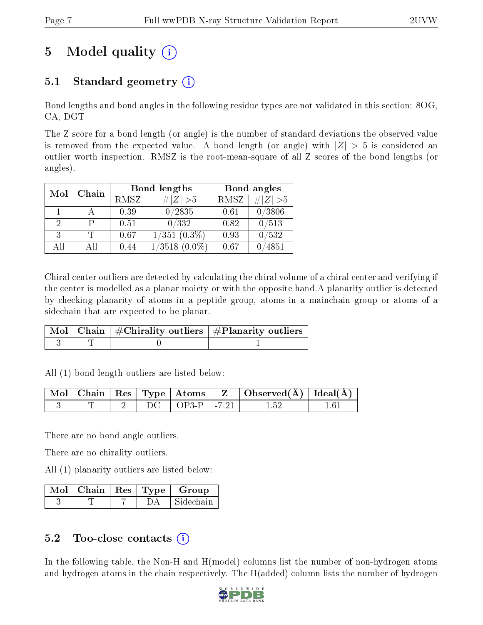# 5 Model quality  $(i)$

### 5.1 Standard geometry  $(i)$

Bond lengths and bond angles in the following residue types are not validated in this section: 8OG, CA, DGT

The Z score for a bond length (or angle) is the number of standard deviations the observed value is removed from the expected value. A bond length (or angle) with  $|Z| > 5$  is considered an outlier worth inspection. RMSZ is the root-mean-square of all Z scores of the bond lengths (or angles).

| Mol<br>Chain |     |      | Bond lengths        | Bond angles |           |
|--------------|-----|------|---------------------|-------------|-----------|
|              |     | RMSZ | # $ Z >5$           | RMSZ        | # $ Z >5$ |
|              |     | 0.39 | 0/2835              | 0.61        | 0/3806    |
| 2            |     | 0.51 | 0/332               | 0.82        | 0/513     |
| 3            |     | 0.67 | $1/351$ $(0.3\%)$   | 0.93        | 0/532     |
| All          | All | 0.44 | 1/3518<br>$(0.0\%)$ | 0.67        | 4851      |

Chiral center outliers are detected by calculating the chiral volume of a chiral center and verifying if the center is modelled as a planar moiety or with the opposite hand.A planarity outlier is detected by checking planarity of atoms in a peptide group, atoms in a mainchain group or atoms of a sidechain that are expected to be planar.

|  | $\lceil \, \text{Mol} \, \rceil$ Chain $\mid \# \text{Chirality outliers} \mid \# \text{Planarity outliers} \mid$ |
|--|-------------------------------------------------------------------------------------------------------------------|
|  |                                                                                                                   |

All (1) bond length outliers are listed below:

|  |  | $\sqrt{\text{Mol}}$   Chain   Res   Type   Atoms   $\sqrt{\text{Mol}}$ | $\mathbf{Z}$ | $\vert$ Observed( $\rm \AA$ ) $\vert$ Ideal( $\rm \AA$ ) $\vert$ |  |
|--|--|------------------------------------------------------------------------|--------------|------------------------------------------------------------------|--|
|  |  | $\perp$ OP3-P $\perp$ -7.21                                            |              |                                                                  |  |

There are no bond angle outliers.

There are no chirality outliers.

All (1) planarity outliers are listed below:

|  |  | Mol   Chain   Res   Type   Group |
|--|--|----------------------------------|
|  |  | Sidechain                        |

### 5.2 Too-close contacts  $(i)$

In the following table, the Non-H and H(model) columns list the number of non-hydrogen atoms and hydrogen atoms in the chain respectively. The H(added) column lists the number of hydrogen

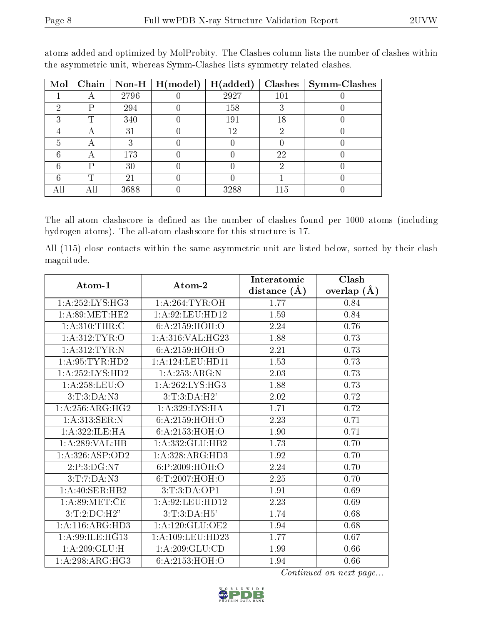| Mol | $\overline{\textbf{Chain}}$ | $\sqrt{\frac{1}{100}}$ Non-H | $\mid$ H(model) | H(added) | <b>Clashes</b> | <b>Symm-Clashes</b> |
|-----|-----------------------------|------------------------------|-----------------|----------|----------------|---------------------|
|     |                             | 2796                         |                 | 2927     | 101            |                     |
| 2   | D                           | 294                          |                 | 158      |                |                     |
| ച   |                             | 340                          |                 | 191      | 18             |                     |
|     | А                           | 31                           |                 | 12       | റ              |                     |
| h   | A                           |                              |                 |          |                |                     |
|     |                             | 173                          |                 |          | 22             |                     |
|     | P                           | 30                           |                 |          | 6)             |                     |
|     | ጥ                           | 21                           |                 |          |                |                     |
| AП  | All                         | 3688                         |                 | 3288     | 115            |                     |

atoms added and optimized by MolProbity. The Clashes column lists the number of clashes within the asymmetric unit, whereas Symm-Clashes lists symmetry related clashes.

The all-atom clashscore is defined as the number of clashes found per 1000 atoms (including hydrogen atoms). The all-atom clashscore for this structure is 17.

All (115) close contacts within the same asymmetric unit are listed below, sorted by their clash magnitude.

| Atom-1                       | Atom-2               | Interatomic              | Clash                 |
|------------------------------|----------------------|--------------------------|-----------------------|
| 1: A:252: LYS: HG3           | 1: A:264:TYR:OH      | distance $(\AA)$<br>1.77 | overlap $(A)$<br>0.84 |
| 1: A:89:MET:HE2              | 1: A:92: LEU: HD12   | 1.59                     | 0.84                  |
| 1: A:310:THR:C               | 6:A:2159:HOH:O       | 2.24                     | 0.76                  |
| 1: A:312: TYR: O             | 1:A:316:VAL:HG23     | 1.88                     | 0.73                  |
| 1: A:312:TYR:N               | 6:A:2159:HOH:O       | 2.21                     | 0.73                  |
| 1: A:95:TYR:HD2              | 1: A: 124: LEU: HD11 | 1.53                     | 0.73                  |
| 1:A:252:LYS:HD2              | 1:A:253:ARG:N        | 2.03                     | 0.73                  |
| 1: A:258:LEU:O               | 1: A:262:LYS:HG3     | 1.88                     | 0.73                  |
| 3: T: 3: DA: N3              | 3:T:3:DA:H2'         | 2.02                     | 0.72                  |
| 1: A:256:ARG:HG2             | 1: A:329:LYS:HA      | 1.71                     | 0.72                  |
| 1:A:313:SER:N                | 6:A:2159:HOH:O       | 2.23                     | 0.71                  |
| 1: A:322: ILE:HA             | 6: A: 2153: HOH:O    | 1.90                     | 0.71                  |
| 1:A:289:VAL:HB               | 1:A:332:GLU:HB2      | 1.73                     | 0.70                  |
| 1:A:326:ASP:OD2              | 1:A:328:ARG:HD3      | 1.92                     | 0.70                  |
| $2:P:3:D\overline{G: N7}$    | 6:P:2009:HOH:O       | 2.24                     | 0.70                  |
| 3:T:7:DA:N3                  | 6:T:2007:HOH:O       | 2.25                     | 0.70                  |
| 1:A:40:SER:HB2               | 3: T: 3: DA: OP1     | 1.91                     | 0.69                  |
| 1: A:89:MET:CE               | 1: A:92: LEU: HD12   | 2.23                     | 0.69                  |
| 3:T:2:D C:H2"                | 3:T:3:DA:H5'         | 1.74                     | 0.68                  |
| 1:A:116:ARG:HD3              | 1:A:120:GLU:OE2      | 1.94                     | 0.68                  |
| 1:A:99:ILE:HG13              | 1: A: 109: LEU: HD23 | 1.77                     | 0.67                  |
| 1: A:209: GLU: H             | 1:A:209:GLU:CD       | 1.99                     | 0.66                  |
| $1:A:298:ARG:\overline{HG3}$ | 6: A: 2153: HOH:O    | 1.94                     | 0.66                  |

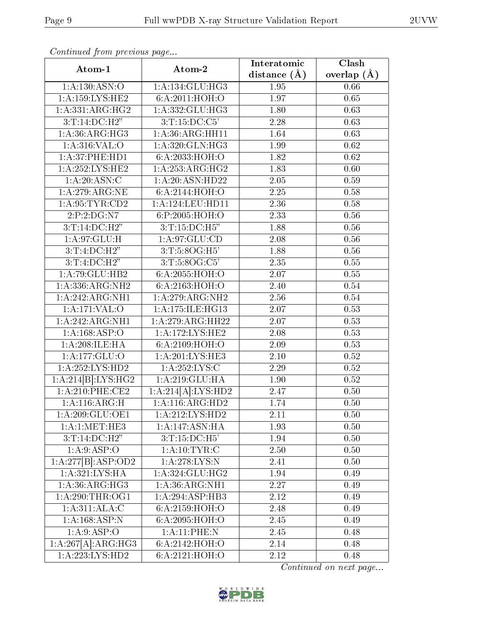| Atom-1                       | Atom-2                       | Interatomic      | Clash         |
|------------------------------|------------------------------|------------------|---------------|
|                              |                              | distance $(\AA)$ | overlap $(A)$ |
| 1:A:130:ASN:O                | 1: A:134: GLU: HG3           | 1.95             | 0.66          |
| 1: A: 159: LYS: HE2          | 6:A:2011:HOH:O               | 1.97             | $0.65\,$      |
| 1:A:331:ARG:HG2              | $1:A:332:GLU:H\overline{G3}$ | 1.80             | 0.63          |
| $3:T:14:\overline{DC:H2"}$   | 3:T:15:DC:C5'                | 2.28             | 0.63          |
| 1: A:36: ARG:HG3             | 1: A:36: ARG: HH11           | 1.64             | 0.63          |
| 1:A:316:VAL:O                | 1:A:320:GLN:HG3              | 1.99             | 0.62          |
| $1: A:37:$ PHE:HD1           | 6:A:2033:HOH:O               | 1.82             | 0.62          |
| 1: A:252:LYS:HE2             | 1: A: 253: ARG: HG2          | 1.83             | 0.60          |
| 1: A:20: ASN:C               | 1: A:20: ASN:HD22            | 2.05             | 0.59          |
| 1:A:279:ARG:NE               | 6:A:2144:HOH:O               | 2.25             | 0.58          |
| 1: A:95: TYR:CD2             | 1: A: 124: LEU: HD11         | 2.36             | 0.58          |
| 2:P:2:DG:N7                  | 6:P:2005:HOH:O               | 2.33             | 0.56          |
| 3:T:14:DC:H2"                | 3: T: 15: DC: H5"            | 1.88             | 0.56          |
| 1: A:97: GLU: H              | 1: A:97: GLU:CD              | 2.08             | 0.56          |
| 3:T:4:D C:H2"                | 3: T: 5: 8OG: H5'            | 1.88             | 0.56          |
| 3:T:4:D C:H2"                | 3:T:5:8OG:C5'                | 2.35             | 0.55          |
| 1: A:79: GLU:HB2             | 6:A:2055:HOH:O               | 2.07             | 0.55          |
| 1: A: 336: ARG: NH2          | 6: A:2163:HOH:O              | 2.40             | 0.54          |
| 1:A:242:ARG:NH1              | 1:A:279:ARG:NH2              | 2.56             | 0.54          |
| 1:A:171:VAL:O                | 1:A:175:ILE:HG13             | 2.07             | 0.53          |
| 1:A:242:ARG:NH1              | 1:A:279:ARG:HH22             | 2.07             | 0.53          |
| 1: A: 168: ASP: O            | 1:A:172:LYS:HE2              | 2.08             | 0.53          |
| 1: A:208: ILE: HA            | 6:A:2109:HOH:O               | 2.09             | 0.53          |
| $1:A:177:\overline{GLU:O}$   | 1:A:201:LYS:HE3              | 2.10             | 0.52          |
| 1:A:252:LYS:HD2              | 1:A:252:LYS:C                | 2.29             | 0.52          |
| 1:A:214[B]:LYS:HG2           | 1:A:219:GLU:HA               | 1.90             | 0.52          |
| $1: A:210:$ PHE:CE2          | 1:A:214[A]:LYS:HD2           | 2.47             | 0.50          |
| 1:A:116:ARG:H                | 1: A:116: ARG:HD2            | 1.74             | 0.50          |
| 1: A:209: GLU:OE1            | 1:A:212:LYS:HD2              | 2.11             | 0.50          |
| 1:A:1:MET:HE3                | 1:A:147:ASN:HA               | 1.93             | 0.50          |
| 3:T:14:DC:H2"                | 3:T:15:DC:H5'                | 1.94             | 0.50          |
| 1: A:9: ASP:O                | 1: A:10: TYR: C              | 2.50             | 0.50          |
| 1:A:277[B]:ASP:OD2           | 1: A:278:LYS:N               | 2.41             | 0.50          |
| 1:A:321:LYS:HA               | 1: A: 324: GLU: HG2          | 1.94             | 0.49          |
| 1: A:36: ARG:HG3             | 1: A:36: ARG: NH1            | 2.27             | 0.49          |
| 1: A:290:THR:OG1             | 1:A:294:ASP:HB3              | 2.12             | 0.49          |
| 1: A:311:ALA:C               | 6: A:2159:HOH:O              | 2.48             | 0.49          |
| 1: A: 168: ASP: N            | 6: A:2095: HOH:O             | 2.45             | 0.49          |
| 1: A:9: ASP:O                | 1:A:11:PHE:N                 | 2.45             | 0.48          |
| 1:A:267[A]:ARG:HG3           | 6:A:2142:HOH:O               | 2.14             | 0.48          |
| $1:A:22\overline{3:LYS:HD2}$ | 6:A:2121:HOH:O               | 2.12             | 0.48          |

Continued from previous page...

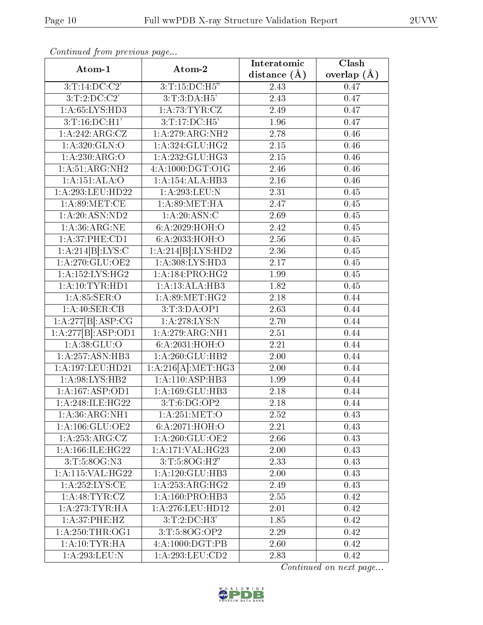|                     |                              | Interatomic      | Clash         |
|---------------------|------------------------------|------------------|---------------|
| Atom-1              | Atom-2                       | distance $(\AA)$ | overlap $(A)$ |
| 3:T:14:DC:C2'       | 3:T:15:DC:H5"                | 2.43             | 0.47          |
| 3:T:2:DC:C2'        | 3:T:3:DA:H5'                 | 2.43             | 0.47          |
| 1: A:65:LYS:HD3     | 1: A:73:TYR:CZ               | 2.49             | 0.47          |
| $3:T:16:D\\C:H1'$   | 3:T:17:DC:H5'                | 1.96             | 0.47          |
| 1:A:242:ARG:CZ      | 1:A:279:ARG:NH2              | 2.78             | 0.46          |
| 1:A:320:GLN:O       | 1:A:324:GLU:HG2              | $2.15\,$         | 0.46          |
| 1:A:230:ARG:O       | 1:A:232:GLU:HG3              | 2.15             | 0.46          |
| 1: A:51: ARG: NH2   | 4:A:1000:DGT:O1G             | 2.46             | 0.46          |
| 1:A:151:ALA:O       | $1:A:\overline{154:ALA:HB3}$ | 2.16             | 0.46          |
| 1:A:293:LEU:HD22    | 1:A:293:LEU:N                | 2.31             | 0.45          |
| 1: A:89:MET:CE      | 1: A:89:MET:HA               | 2.47             | 0.45          |
| 1: A:20: ASN:ND2    | 1:A:20:ASN:C                 | 2.69             | 0.45          |
| 1: A:36: ARG: NE    | 6:A:2029:HOH:O               | 2.42             | 0.45          |
| 1: A:37:PHE:CD1     | 6:A:2033:HOH:O               | 2.56             | 0.45          |
| 1:A:214[B]:LYS:C    | 1:A:214[B]:LYS:HD2           | 2.36             | 0.45          |
| 1: A:270: GLU:OE2   | 1: A:308: LYS: HD3           | 2.17             | 0.45          |
| 1: A: 152: LYS: HG2 | 1: A:184: PRO:HG2            | 1.99             | 0.45          |
| 1: A:10:TYR:HD1     | 1:A:13:ALA:HB3               | 1.82             | 0.45          |
| 1: A:85: SER:O      | 1:A:89:MET:HG2               | 2.18             | 0.44          |
| 1:A:40:SER:CB       | 3:T:3:DA:OP1                 | 2.63             | 0.44          |
| 1:A:277[B]:ASP:CG   | 1: A:278:LYS:N               | 2.70             | 0.44          |
| 1:A:277[B]:ASP:OD1  | 1: A:279:ARG:NH1             | 2.51             | 0.44          |
| 1: A: 38: GLU: O    | 6:A:2031:HOH:O               | 2.21             | 0.44          |
| 1:A:257:ASN:HB3     | 1: A:260: GLU:HB2            | 2.00             | 0.44          |
| 1:A:197:LEU:HD21    | 1:A:216[A]:MET:HG3           | 2.00             | 0.44          |
| 1: A:98: LYS: HB2   | 1:A:110:ASP:HB3              | 1.99             | 0.44          |
| 1:A:167:ASP:OD1     | 1:A:169:GLU:HB3              | 2.18             | 0.44          |
| 1:A:248:ILE:HG22    | 3:T:6:DG:OP2                 | 2.18             | 0.44          |
| 1: A:36: ARG: NH1   | 1: A:251: MET:O              | 2.52             | 0.43          |
| 1: A: 106: GLU: OE2 | 6: A:2071: HOH:O             | 2.21             | 0.43          |
| 1:A:253:ARG:CZ      | 1: A:260: GLU:OE2            | 2.66             | 0.43          |
| 1:A:166:ILE:HG22    | 1:A:171:VAL:HG23             | 2.00             | 0.43          |
| 3: T: 5:8OG: N3     | 3:T:5:8OG:H2"                | 2.33             | 0.43          |
| 1:A:115:VAL:HG22    | 1: A:120: GLU:HB3            | 2.00             | 0.43          |
| 1: A: 252: LYS: CE  | 1: A: 253: ARG: HG2          | 2.49             | 0.43          |
| 1: A:48: TYR: CZ    | 1: A:160: PRO:HB3            | 2.55             | 0.42          |
| 1:A:273:TYR:HA      | 1:A:276:LEU:HD12             | 2.01             | 0.42          |
| 1: A:37:PHE:HZ      | $3:T:2:D$ C:H $3'$           | 1.85             | 0.42          |
| 1: A:250:THR:OG1    | 3:T:5:8OG:OP2                | 2.29             | 0.42          |
| 1: A: 10: TYR: HA   | 4:A:1000:DGT:PB              | 2.60             | 0.42          |
| 1: A:293:LEU: N     | 1: A:293:LEU:CD2             | 2.83             | 0.42          |

Continued from previous page...

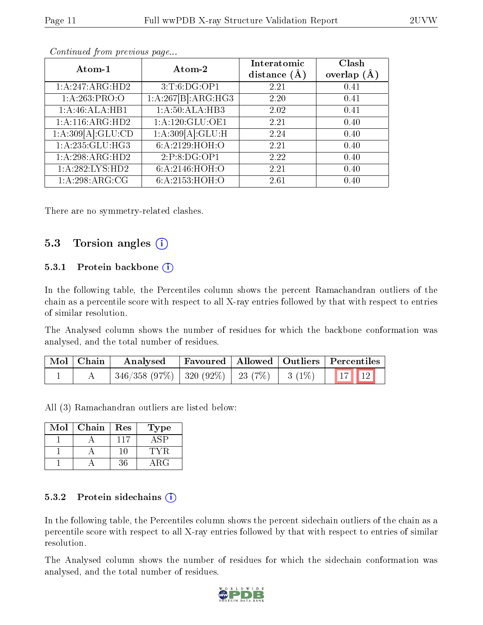| Atom-1             | Atom-2             | Interatomic<br>distance $(\AA)$ | Clash<br>overlap $(A)$ |
|--------------------|--------------------|---------------------------------|------------------------|
| 1:A:247:ARG:HD2    | 3:T:6:DG:OP1       | 2.21                            | 0.41                   |
| 1: A:263:PRO:O     | 1:A:267[B]:ARG:HG3 | 2.20                            | 0.41                   |
| 1:A:46:ALA:HB1     | 1:A:50:ALA:HB3     | 2.02                            | 0.41                   |
| 1: A:116: ARG:HD2  | 1: A:120: GLU:OE1  | 2.21                            | 0.40                   |
| 1:A:309[A]:GLU:CD  | 1:A:309[A]:GLU:H   | 2.24                            | 0.40                   |
| $1:$ A:235:GLU:HG3 | 6: A:2129: HOH:O   | 2.21                            | 0.40                   |
| 1:A:298:ARG:HD2    | 2:P:8:DG:OP1       | 2.22                            | 0.40                   |
| 1:A:282:LYS:HD2    | 6:A:2146:HOH:O     | 2.21                            | 0.40                   |
| 1: A:298: ARG:CG   | 6:A:2153:HOH:O     | 2.61                            | 0.40                   |

Continued from previous page...

There are no symmetry-related clashes.

#### 5.3 Torsion angles  $(i)$

#### 5.3.1 Protein backbone  $(i)$

In the following table, the Percentiles column shows the percent Ramachandran outliers of the chain as a percentile score with respect to all X-ray entries followed by that with respect to entries of similar resolution.

The Analysed column shows the number of residues for which the backbone conformation was analysed, and the total number of residues.

| $\mid$ Mol $\mid$ Chain $\mid$ | Analysed                                     |  | Favoured   Allowed   Outliers   Percentiles |
|--------------------------------|----------------------------------------------|--|---------------------------------------------|
|                                | 346/358 (97%)   320 (92%)   23 (7%)   3 (1%) |  |                                             |

All (3) Ramachandran outliers are listed below:

| Mol | Chain | Res       | Гуре         |
|-----|-------|-----------|--------------|
|     |       | 117       |              |
|     |       | <b>HD</b> |              |
|     |       | 36        | $\lambda$ RG |

#### 5.3.2 Protein sidechains  $(i)$

In the following table, the Percentiles column shows the percent sidechain outliers of the chain as a percentile score with respect to all X-ray entries followed by that with respect to entries of similar resolution.

The Analysed column shows the number of residues for which the sidechain conformation was analysed, and the total number of residues.

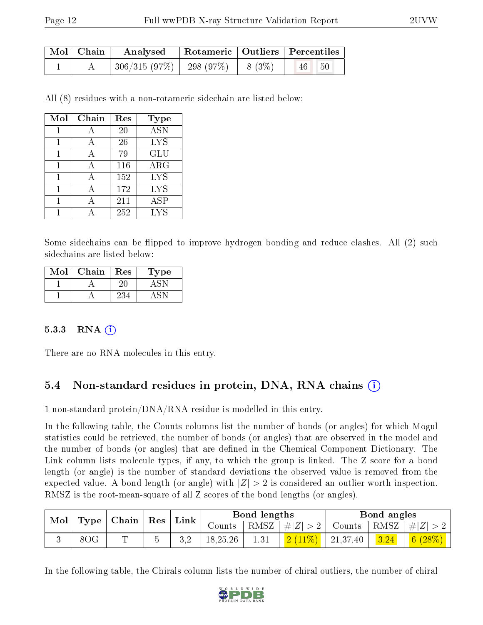| Mol   Chain | Analysed   Rotameric   Outliers   Percentiles |  |                           |  |
|-------------|-----------------------------------------------|--|---------------------------|--|
|             | $306/315(97\%)$   298 (97\%)   8 (3\%)        |  | $-50$<br>$\vert 46 \vert$ |  |

All (8) residues with a non-rotameric sidechain are listed below:

| Mol | Chain | Res | Type             |
|-----|-------|-----|------------------|
|     |       | 20  | $\overline{ASN}$ |
| 1   | А     | 26  | <b>LYS</b>       |
| 1   | А     | 79  | <b>GLU</b>       |
|     | А     | 116 | ARG              |
|     |       | 152 | <b>LYS</b>       |
|     |       | 172 | <b>LYS</b>       |
|     |       | 211 | ASP              |
|     |       | 252 | <b>LYS</b>       |

Some sidechains can be flipped to improve hydrogen bonding and reduce clashes. All (2) such sidechains are listed below:

| Mol | Chain | Res | ype |
|-----|-------|-----|-----|
|     |       |     |     |
|     |       |     |     |

#### 5.3.3 RNA  $(i)$

There are no RNA molecules in this entry.

#### 5.4 Non-standard residues in protein, DNA, RNA chains (i)

1 non-standard protein/DNA/RNA residue is modelled in this entry.

In the following table, the Counts columns list the number of bonds (or angles) for which Mogul statistics could be retrieved, the number of bonds (or angles) that are observed in the model and the number of bonds (or angles) that are defined in the Chemical Component Dictionary. The Link column lists molecule types, if any, to which the group is linked. The Z score for a bond length (or angle) is the number of standard deviations the observed value is removed from the expected value. A bond length (or angle) with  $|Z| > 2$  is considered an outlier worth inspection. RMSZ is the root-mean-square of all Z scores of the bond lengths (or angles).

| $\bf{Mol}$<br>$\mid$ Type   Chain   Res |     | Link |  | Bond lengths |  | Bond angles                        |          |             |                |
|-----------------------------------------|-----|------|--|--------------|--|------------------------------------|----------|-------------|----------------|
|                                         |     |      |  | Counts       |  | $\vert$ RMSZ $\vert \#Z \vert > 2$ | Counts   | RMSZ $ #Z $ |                |
|                                         | 8OG |      |  | 18,25,26     |  |                                    | 21,37,40 | 3.24        | 6(<br>$(28\%)$ |

In the following table, the Chirals column lists the number of chiral outliers, the number of chiral

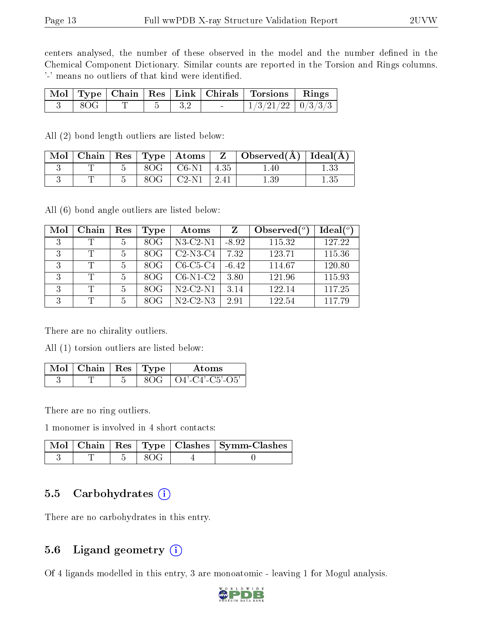centers analysed, the number of these observed in the model and the number defined in the Chemical Component Dictionary. Similar counts are reported in the Torsion and Rings columns. '-' means no outliers of that kind were identified.

|                     |                     |  | Mol   Type   Chain   Res   Link   Chirals   Torsions   Rings |  |
|---------------------|---------------------|--|--------------------------------------------------------------|--|
| $\vert$ 8OG $\vert$ | $T \mid 5 \mid 3.2$ |  | $1/3/21/22$ 0/3/3/3                                          |  |

All (2) bond length outliers are listed below:

|  |     | $\mid$ Mol $\mid$ Chain $\mid$ Res $\mid$ Type $\mid$ Atoms $\mid$ | $\perp$ Z $\parallel$ Observed(Å) $\parallel$ Ideal(Å) |          |
|--|-----|--------------------------------------------------------------------|--------------------------------------------------------|----------|
|  |     | $8OG \mid CG-N1 \mid 4.35$                                         | 1.40                                                   |          |
|  | 8OG | $C2-N1$   $2.41$                                                   | $1.39\,$                                               | $1.35\,$ |

All (6) bond angle outliers are listed below:

| Mol | Chain | Res | Type | Atoms          | Z       | Observed $(°)$ | Ideal $(°)$ |
|-----|-------|-----|------|----------------|---------|----------------|-------------|
| 3   |       | 5   | 8OG  | $N3-C2-N1$     | $-8.92$ | 115.32         | 127.22      |
| 3   | T     |     | 80G  | $C2-N3-C4$     | 7.32    | 123.71         | 115.36      |
| 3   | T     |     | 80G  | $C6-C5-C4$     | $-6.42$ | 114.67         | 120.80      |
| 3   | T     |     | 80G  | $C6-N1-C2$     | 3.80    | 121.96         | 115.93      |
| 3   |       | 5   | 80G  | $N2$ -C2- $N1$ | 3.14    | 122.14         | 117.25      |
| 3   | T     |     |      | $N2-C2-N3$     | 2.91    | 122.54         | 117.79      |

There are no chirality outliers.

All (1) torsion outliers are listed below:

| Mol | $\therefore$   Chain   Res   Type |  | Atoms             |
|-----|-----------------------------------|--|-------------------|
|     |                                   |  | + O4'-C4'-C5'-O5' |

There are no ring outliers.

1 monomer is involved in 4 short contacts:

|  |      | Mol   Chain   Res   Type   Clashes   Symm-Clashes |
|--|------|---------------------------------------------------|
|  | -80G |                                                   |

#### 5.5 Carbohydrates (i)

There are no carbohydrates in this entry.

#### 5.6 Ligand geometry (i)

Of 4 ligands modelled in this entry, 3 are monoatomic - leaving 1 for Mogul analysis.

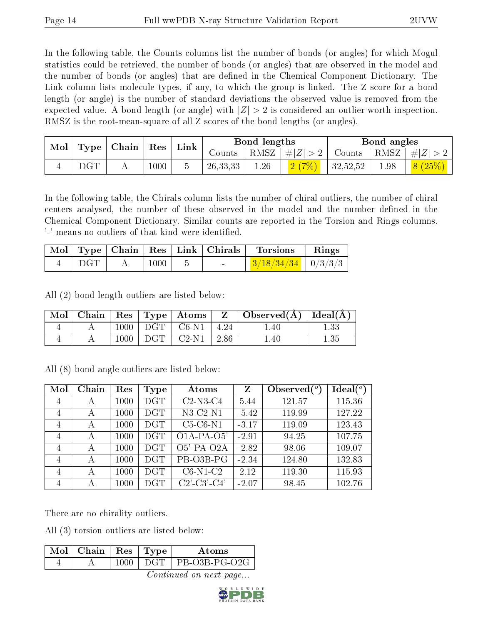In the following table, the Counts columns list the number of bonds (or angles) for which Mogul statistics could be retrieved, the number of bonds (or angles) that are observed in the model and the number of bonds (or angles) that are dened in the Chemical Component Dictionary. The Link column lists molecule types, if any, to which the group is linked. The Z score for a bond length (or angle) is the number of standard deviations the observed value is removed from the expected value. A bond length (or angle) with  $|Z| > 2$  is considered an outlier worth inspection. RMSZ is the root-mean-square of all Z scores of the bond lengths (or angles).

| Mol<br>Type | $\mid$ Chain $\mid$ | ${\rm Res}$ | Link |  | Bond lengths |                   | Bond angles        |                       |      |         |
|-------------|---------------------|-------------|------|--|--------------|-------------------|--------------------|-----------------------|------|---------|
|             |                     |             |      |  | Counts       | RMSZ <sup> </sup> | $\vert \#  Z  > 2$ | Counts   RMSZ $\vert$ |      | $\# Z $ |
| ∸           | $\rm DGT$           |             | 1000 |  | 26, 33, 33   | 1.26              |                    | 32,52,52              | 1.98 | 8(25%)  |

In the following table, the Chirals column lists the number of chiral outliers, the number of chiral centers analysed, the number of these observed in the model and the number defined in the Chemical Component Dictionary. Similar counts are reported in the Torsion and Rings columns. '-' means no outliers of that kind were identified.

|     |          |  | Mol   Type   Chain   Res   Link   Chirals   Torsions   Rings |  |
|-----|----------|--|--------------------------------------------------------------|--|
| DGT | $1000\,$ |  | $\mid$ 3/18/34/34 $\mid$ 0/3/3/3 $\mid$                      |  |

All (2) bond length outliers are listed below:

| Mol |      |            | $\mid$ Chain $\mid$ Res $\mid$ Type $\mid$ Atoms $\mid$ |                 | $\vert$ Observed( $\AA$ ) Ideal( $\overline{A}$ ) |      |
|-----|------|------------|---------------------------------------------------------|-----------------|---------------------------------------------------|------|
|     | 1000 | DGT        | $C6-N1$                                                 | $^{\circ}$ 4.24 | $1.40\,$                                          |      |
|     | 1000 | <b>DGT</b> | $C2-N1$                                                 | 2.86            | $1.40\,$                                          | 1.35 |

All (8) bond angle outliers are listed below:

| Mol            | Chain | Res  | Type       | Atoms                                                 | Z       | Observed $(°)$ | Ideal (°) |
|----------------|-------|------|------------|-------------------------------------------------------|---------|----------------|-----------|
| 4              | А     | 1000 | <b>DGT</b> | $C2-N3-C4$                                            | 5.44    | 121.57         | 115.36    |
| 4              | А     | 1000 | <b>DGT</b> | $N3-C2-N1$                                            | $-5.42$ | 119.99         | 127.22    |
| 4              | А     | 1000 | <b>DGT</b> | $C5-C6-N1$                                            | $-3.17$ | 119.09         | 123.43    |
| $\overline{4}$ | А     | 1000 | <b>DGT</b> | $O1A-PA-O5'$                                          | $-2.91$ | 94.25          | 107.75    |
| $\overline{4}$ | А     | 1000 | <b>DGT</b> | O5'-PA-O2A                                            | $-2.82$ | 98.06          | 109.07    |
| $\overline{4}$ | А     | 1000 | <b>DGT</b> | PB-O3B-PG                                             | $-2.34$ | 124.80         | 132.83    |
| $\overline{4}$ | А     | 1000 | <b>DGT</b> | $C6-N1-C2$                                            | 2.12    | 119.30         | 115.93    |
| $\overline{4}$ | А     | 1000 | DGT        | $C2$ <sup>-</sup> $C3$ <sup>-</sup> $C4$ <sup>'</sup> | $-2.07$ | 98.45          | 102.76    |

There are no chirality outliers.

All (3) torsion outliers are listed below:

| $\sqrt{\text{Mol}}$ Chain   Res   Type $\sqrt{\ }$ |         | Atoms               |
|----------------------------------------------------|---------|---------------------|
|                                                    | -1000 - | DGT   PB-03B-PG-02G |
|                                                    |         |                     |

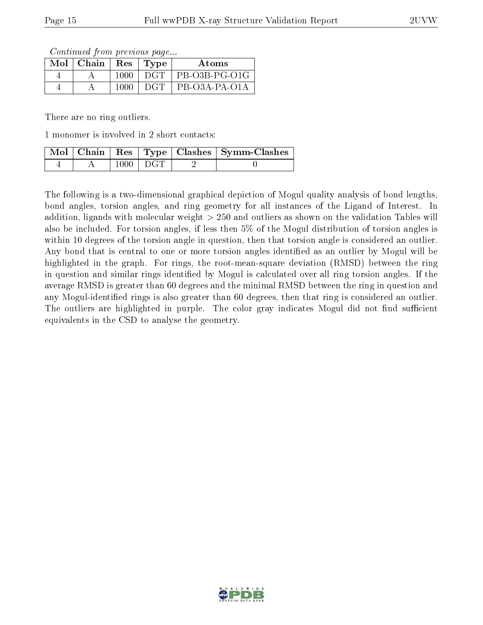Continued from previous page...

| $Mol$   Chain | $\operatorname{Res}$ | 'Type      | Atoms         |
|---------------|----------------------|------------|---------------|
|               | 1000                 | DGT        | PB-03B-PG-01G |
|               | 1000                 | <b>DGT</b> | PB-O3A-PA-O1A |

There are no ring outliers.

1 monomer is involved in 2 short contacts:

|  |                  | $\mid$ Mol $\mid$ Chain $\mid$ Res $\mid$ Type $\mid$ Clashes $\mid$ Symm-Clashes $\mid$ |
|--|------------------|------------------------------------------------------------------------------------------|
|  | $1000 \perp DGT$ |                                                                                          |

The following is a two-dimensional graphical depiction of Mogul quality analysis of bond lengths, bond angles, torsion angles, and ring geometry for all instances of the Ligand of Interest. In addition, ligands with molecular weight > 250 and outliers as shown on the validation Tables will also be included. For torsion angles, if less then 5% of the Mogul distribution of torsion angles is within 10 degrees of the torsion angle in question, then that torsion angle is considered an outlier. Any bond that is central to one or more torsion angles identified as an outlier by Mogul will be highlighted in the graph. For rings, the root-mean-square deviation (RMSD) between the ring in question and similar rings identified by Mogul is calculated over all ring torsion angles. If the average RMSD is greater than 60 degrees and the minimal RMSD between the ring in question and any Mogul-identified rings is also greater than 60 degrees, then that ring is considered an outlier. The outliers are highlighted in purple. The color gray indicates Mogul did not find sufficient equivalents in the CSD to analyse the geometry.

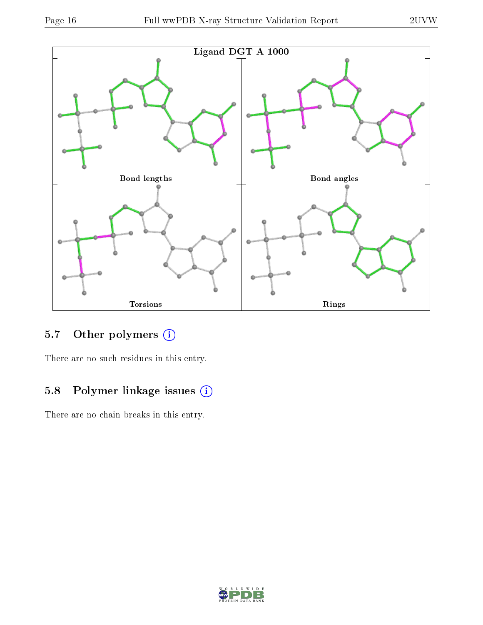

### 5.7 [O](https://www.wwpdb.org/validation/2017/XrayValidationReportHelp#nonstandard_residues_and_ligands)ther polymers (i)

There are no such residues in this entry.

### 5.8 Polymer linkage issues (i)

There are no chain breaks in this entry.

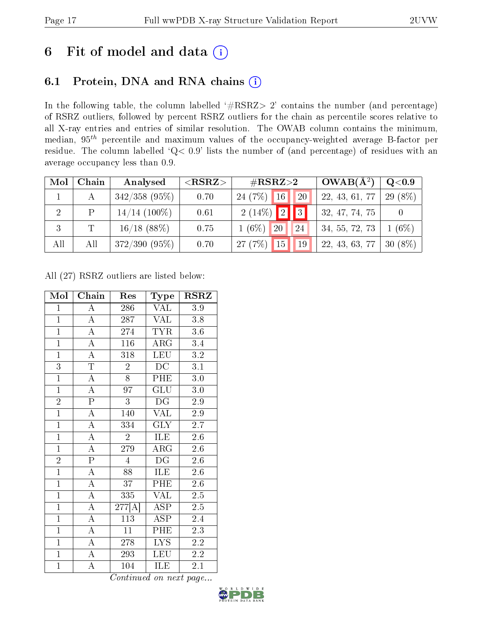## 6 Fit of model and data  $(i)$

### 6.1 Protein, DNA and RNA chains  $(i)$

In the following table, the column labelled  $#RSRZ> 2'$  contains the number (and percentage) of RSRZ outliers, followed by percent RSRZ outliers for the chain as percentile scores relative to all X-ray entries and entries of similar resolution. The OWAB column contains the minimum, median,  $95<sup>th</sup>$  percentile and maximum values of the occupancy-weighted average B-factor per residue. The column labelled ' $Q< 0.9$ ' lists the number of (and percentage) of residues with an average occupancy less than 0.9.

| Mol            | Chain | Analysed        | ${ <\hspace{-1.5pt}{\mathrm{RSRZ}} \hspace{-1.5pt}>}$ | $\rm \#RSRZ{>}2$                  | $OWAB(A^2)$    | Q <sub>0.9</sub> |
|----------------|-------|-----------------|-------------------------------------------------------|-----------------------------------|----------------|------------------|
|                |       | $342/358$ (95%) | 0.70                                                  | $24(7%)$ 16<br><sup>20</sup>      | 22, 43, 61, 77 | 29 (8%)          |
| $\overline{2}$ | P     | $14/14$ (100%)  | 0.61                                                  | $2(14\%)$ $\boxed{2}$ $\boxed{3}$ | 32, 47, 74, 75 |                  |
|                |       | $16/18$ (88%)   | 0.75                                                  | $1(6\%)$<br>20<br>24              | 34, 55, 72, 73 | $(6\%)$          |
| All            | All   | $372/390(95\%)$ | 0.70                                                  | 15<br>27(7%)<br>19                | 22, 43, 63, 77 | $30(8\%)$        |

All (27) RSRZ outliers are listed below:

| Mol            | Chain                   | Res                          | Type                              | <b>RSRZ</b>      |
|----------------|-------------------------|------------------------------|-----------------------------------|------------------|
| $\mathbf{1}$   | $\boldsymbol{A}$        | 286                          | VAL                               | 3.9              |
| $\overline{1}$ | $\overline{A}$          | 287                          | <b>VAL</b>                        | 3.8              |
| $\overline{1}$ | $\overline{\rm A}$      | 274                          | <b>TYR</b>                        | 3.6              |
| $\overline{1}$ | $\overline{A}$          | $\overline{116}$             | $\overline{\text{ARG}}$           | 3.4              |
| $\overline{1}$ | $\overline{\rm A}$      | 318                          | <b>LEU</b>                        | $3.2\,$          |
| $\overline{3}$ | $\overline{T}$          | $\overline{2}$               | $\overline{DC}$                   | $\overline{3.1}$ |
| $\overline{1}$ | $\overline{A}$          | 8                            | PHE                               | 3.0              |
| $\overline{1}$ | $\overline{\rm A}$      | $9\overline{7}$              | GLU                               | 3.0              |
| $\overline{2}$ | $\overline{P}$          | $\overline{3}$               | $\overline{\mathrm{D}\mathrm{G}}$ | 2.9              |
| $\overline{1}$ | $\overline{\rm A}$      | 140                          | <b>VAL</b>                        | 2.9              |
| $\overline{1}$ | $\overline{A}$          | 334                          | GLY                               | 2.7              |
| $\overline{1}$ | $\overline{A}$          | $\overline{2}$               | ILE                               | $2.6\,$          |
| $\overline{1}$ | $\overline{\rm A}$      | 279                          | ARG                               | 2.6              |
| $\overline{2}$ | $\overline{\mathrm{P}}$ | $\overline{4}$               | DG                                | 2.6              |
| $\overline{1}$ | $\overline{\rm A}$      | $\overline{88}$              | ILE                               | 2.6              |
| $\overline{1}$ | $\overline{\rm A}$      | 37                           | $\overline{\text{PHE}}$           | $2.6\,$          |
| $\overline{1}$ | $\overline{\rm A}$      | 335                          | <b>VAL</b>                        | 2.5              |
| $\overline{1}$ | $\overline{A}$          | $\overline{277[\mathrm{A}]}$ | $\overline{\text{ASP}}$           | $2.5\,$          |
| $\overline{1}$ | $\overline{\rm A}$      | 113                          | <b>ASP</b>                        | 2.4              |
| $\overline{1}$ | $\overline{\rm A}$      | 11                           | PHE                               | 2.3              |
| $\overline{1}$ | $\overline{\rm A}$      | 278                          | LYS                               | 2.2              |
| $\mathbf{1}$   | $\overline{\rm A}$      | 293                          | LEU                               | 2.2              |
| $\overline{1}$ | $\overline{\rm A}$      | 104                          | ILE                               | 2.1              |

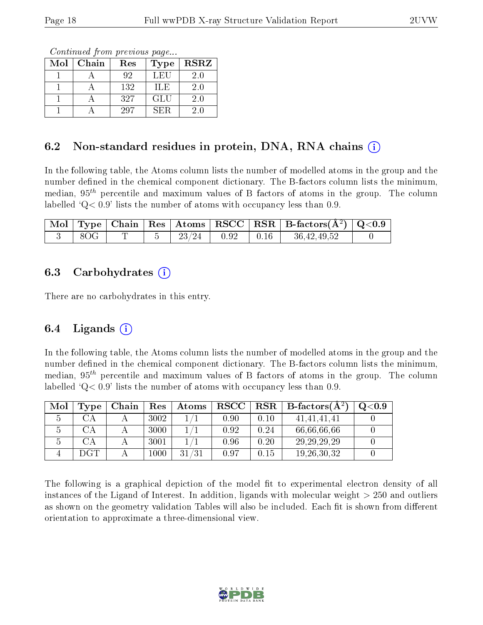Continued from previous page...

| Mol | Chain | Res | Type | <b>RSRZ</b> |
|-----|-------|-----|------|-------------|
|     |       | 92  | LEU  | 2.0         |
|     |       | 132 | ILE  | 2.0         |
|     |       | 327 | GLU  | 2.0         |
|     |       | 297 | SER  | 20          |

### 6.2 Non-standard residues in protein, DNA, RNA chains (i)

In the following table, the Atoms column lists the number of modelled atoms in the group and the number defined in the chemical component dictionary. The B-factors column lists the minimum, median,  $95<sup>th</sup>$  percentile and maximum values of B factors of atoms in the group. The column labelled  $Q< 0.9$  lists the number of atoms with occupancy less than 0.9.

|     |  |                        |  | $\boxed{\text{ Mol} \mid \text{Type} \mid \text{Chain} \mid \text{Res} \mid \text{Atoms} \mid \text{RSCC} \mid \text{RSR} \mid \text{B-factors}(\AA^2) \mid \text{Q}<0.9}$ |  |
|-----|--|------------------------|--|----------------------------------------------------------------------------------------------------------------------------------------------------------------------------|--|
| 8OG |  | $-23/24$   0.92   0.16 |  | 36,42,49,52                                                                                                                                                                |  |

#### 6.3 Carbohydrates (i)

There are no carbohydrates in this entry.

#### 6.4 Ligands  $(i)$

In the following table, the Atoms column lists the number of modelled atoms in the group and the number defined in the chemical component dictionary. The B-factors column lists the minimum, median,  $95<sup>th</sup>$  percentile and maximum values of B factors of atoms in the group. The column labelled  $Q< 0.9$  lists the number of atoms with occupancy less than 0.9.

| Mol | Type | Chain | Res  | Atoms |      |            | $\text{RSCC}$   RSR   B-factors( $\AA^2$ ) | O <sub>0.9</sub> |
|-----|------|-------|------|-------|------|------------|--------------------------------------------|------------------|
|     |      |       | 3002 |       | 0.90 | 0.10       | 41.41.41.41                                |                  |
|     |      |       | 3000 |       | 0.92 | 0.24       | 66,66,66,66                                |                  |
|     |      |       | 3001 |       | 0.96 | 0.20       | 29, 29, 29, 29                             |                  |
|     | DGT  |       | 1000 | 31/31 | 0.97 | $\rm 0.15$ | 19, 26, 30, 32                             |                  |

The following is a graphical depiction of the model fit to experimental electron density of all instances of the Ligand of Interest. In addition, ligands with molecular weight  $> 250$  and outliers as shown on the geometry validation Tables will also be included. Each fit is shown from different orientation to approximate a three-dimensional view.